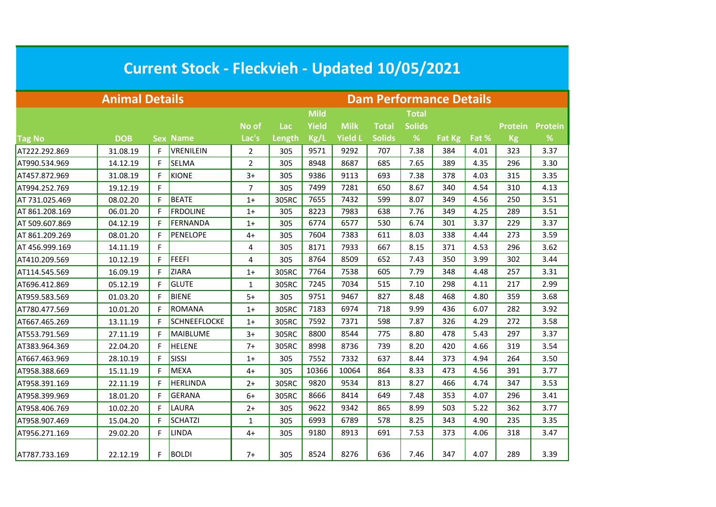| <b>Current Stock - Fleckvieh - Updated 10/05/2021</b> |                       |   |                     |                |        |                                |                |               |               |        |       |                |                |  |  |  |
|-------------------------------------------------------|-----------------------|---|---------------------|----------------|--------|--------------------------------|----------------|---------------|---------------|--------|-------|----------------|----------------|--|--|--|
|                                                       | <b>Animal Details</b> |   |                     |                |        | <b>Dam Performance Details</b> |                |               |               |        |       |                |                |  |  |  |
|                                                       |                       |   |                     |                |        | <b>Mild</b>                    |                |               | <b>Total</b>  |        |       |                |                |  |  |  |
|                                                       |                       |   |                     | No of          | Lac    | Yield                          | <b>Milk</b>    | <b>Total</b>  | <b>Solids</b> |        |       | <b>Protein</b> | <b>Protein</b> |  |  |  |
| <b>Tag No</b>                                         | <b>DOB</b>            |   | <b>Sex Name</b>     | Lac's          | Length | Kg/L                           | <b>Yield L</b> | <b>Solids</b> | %             | Fat Kg | Fat % | <b>Kg</b>      | %              |  |  |  |
| AT222.292.869                                         | 31.08.19              | F | <b>VRENILEIN</b>    | 2              | 305    | 9571                           | 9292           | 707           | 7.38          | 384    | 4.01  | 323            | 3.37           |  |  |  |
| AT990.534.969                                         | 14.12.19              | F | SELMA               | $\overline{2}$ | 305    | 8948                           | 8687           | 685           | 7.65          | 389    | 4.35  | 296            | 3.30           |  |  |  |
| AT457.872.969                                         | 31.08.19              | F | <b>KIONE</b>        | $3+$           | 305    | 9386                           | 9113           | 693           | 7.38          | 378    | 4.03  | 315            | 3.35           |  |  |  |
| AT994.252.769                                         | 19.12.19              | F |                     | 7              | 305    | 7499                           | 7281           | 650           | 8.67          | 340    | 4.54  | 310            | 4.13           |  |  |  |
| AT 731.025.469                                        | 08.02.20              | F | <b>BEATE</b>        | $1+$           | 305RC  | 7655                           | 7432           | 599           | 8.07          | 349    | 4.56  | 250            | 3.51           |  |  |  |
| AT 861.208.169                                        | 06.01.20              | F | <b>FRDOLINE</b>     | $1+$           | 305    | 8223                           | 7983           | 638           | 7.76          | 349    | 4.25  | 289            | 3.51           |  |  |  |
| AT 509.607.869                                        | 04.12.19              | F | <b>FERNANDA</b>     | $1+$           | 305    | 6774                           | 6577           | 530           | 6.74          | 301    | 3.37  | 229            | 3.37           |  |  |  |
| AT 861.209.269                                        | 08.01.20              | F | <b>PENELOPE</b>     | $4+$           | 305    | 7604                           | 7383           | 611           | 8.03          | 338    | 4.44  | 273            | 3.59           |  |  |  |
| AT 456.999.169                                        | 14.11.19              | F |                     | 4              | 305    | 8171                           | 7933           | 667           | 8.15          | 371    | 4.53  | 296            | 3.62           |  |  |  |
| AT410.209.569                                         | 10.12.19              | F | <b>FEEFI</b>        | 4              | 305    | 8764                           | 8509           | 652           | 7.43          | 350    | 3.99  | 302            | 3.44           |  |  |  |
| AT114.545.569                                         | 16.09.19              | F | <b>ZIARA</b>        | $1+$           | 305RC  | 7764                           | 7538           | 605           | 7.79          | 348    | 4.48  | 257            | 3.31           |  |  |  |
| AT696.412.869                                         | 05.12.19              | F | <b>GLUTE</b>        | 1              | 305RC  | 7245                           | 7034           | 515           | 7.10          | 298    | 4.11  | 217            | 2.99           |  |  |  |
| AT959.583.569                                         | 01.03.20              | F | <b>BIENE</b>        | $5+$           | 305    | 9751                           | 9467           | 827           | 8.48          | 468    | 4.80  | 359            | 3.68           |  |  |  |
| AT780.477.569                                         | 10.01.20              | F | <b>ROMANA</b>       | $1+$           | 305RC  | 7183                           | 6974           | 718           | 9.99          | 436    | 6.07  | 282            | 3.92           |  |  |  |
| AT667.465.269                                         | 13.11.19              | F | <b>SCHNEEFLOCKE</b> | $1+$           | 305RC  | 7592                           | 7371           | 598           | 7.87          | 326    | 4.29  | 272            | 3.58           |  |  |  |
| AT553.791.569                                         | 27.11.19              | F | <b>MAIBLUME</b>     | $3+$           | 305RC  | 8800                           | 8544           | 775           | 8.80          | 478    | 5.43  | 297            | 3.37           |  |  |  |
| AT383.964.369                                         | 22.04.20              | F | <b>HELENE</b>       | $7+$           | 305RC  | 8998                           | 8736           | 739           | 8.20          | 420    | 4.66  | 319            | 3.54           |  |  |  |
| AT667.463.969                                         | 28.10.19              | F | SISSI               | $1+$           | 305    | 7552                           | 7332           | 637           | 8.44          | 373    | 4.94  | 264            | 3.50           |  |  |  |
| AT958.388.669                                         | 15.11.19              | F | <b>MEXA</b>         | $4+$           | 305    | 10366                          | 10064          | 864           | 8.33          | 473    | 4.56  | 391            | 3.77           |  |  |  |
| AT958.391.169                                         | 22.11.19              | F | <b>HERLINDA</b>     | $2+$           | 305RC  | 9820                           | 9534           | 813           | 8.27          | 466    | 4.74  | 347            | 3.53           |  |  |  |
| AT958.399.969                                         | 18.01.20              | F | <b>GERANA</b>       | $6+$           | 305RC  | 8666                           | 8414           | 649           | 7.48          | 353    | 4.07  | 296            | 3.41           |  |  |  |
| AT958.406.769                                         | 10.02.20              | F | LAURA               | $2+$           | 305    | 9622                           | 9342           | 865           | 8.99          | 503    | 5.22  | 362            | 3.77           |  |  |  |
| AT958.907.469                                         | 15.04.20              | F | <b>SCHATZI</b>      | 1              | 305    | 6993                           | 6789           | 578           | 8.25          | 343    | 4.90  | 235            | 3.35           |  |  |  |
| AT956.271.169                                         | 29.02.20              | F | LINDA               | 4+             | 305    | 9180                           | 8913           | 691           | 7.53          | 373    | 4.06  | 318            | 3.47           |  |  |  |
| AT787.733.169                                         | 22.12.19              | F | <b>BOLDI</b>        | $7+$           | 305    | 8524                           | 8276           | 636           | 7.46          | 347    | 4.07  | 289            | 3.39           |  |  |  |